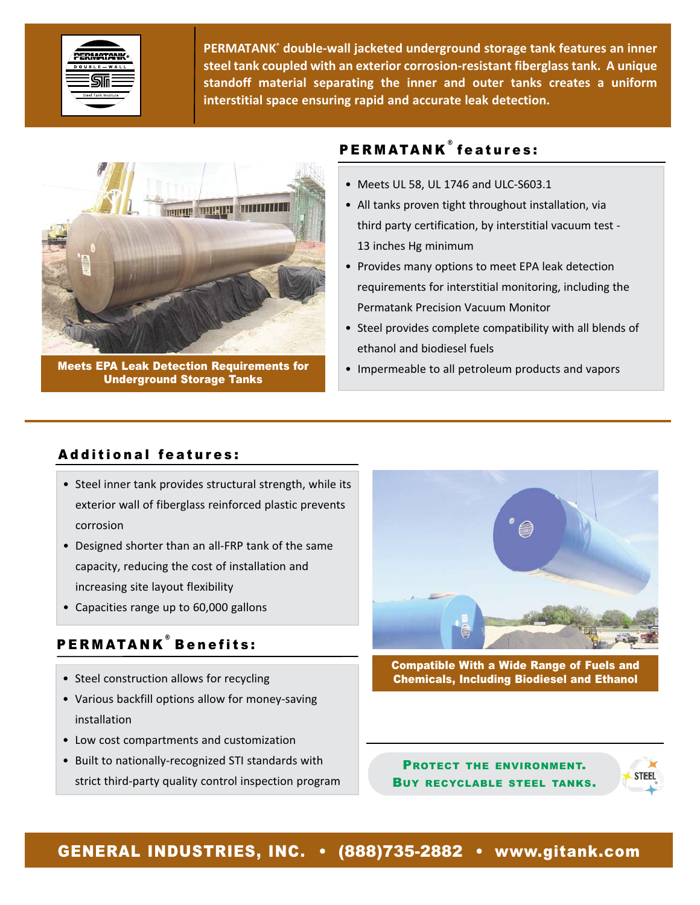

**PERMATANK® double‐wall jacketed underground storage tank features an inner steel tank coupled with an exterior corrosion‐resistant fiberglass tank. A unique standoff material separating the inner and outer tanks creates a uniform interstitial space ensuring rapid and accurate leak detection.**



Meets EPA Leak Detection Requirements for Underground Storage Tanks

# PERMATANK<sup>®</sup> features:

- Meets UL 58, UL 1746 and ULC‐S603.1
- All tanks proven tight throughout installation, via third party certification, by interstitial vacuum test ‐ 13 inches Hg minimum
- Provides many options to meet EPA leak detection requirements for interstitial monitoring, including the Permatank Precision Vacuum Monitor
- Steel provides complete compatibility with all blends of ethanol and biodiesel fuels
- Impermeable to all petroleum products and vapors

### Additional features:

- Steel inner tank provides structural strength, while its exterior wall of fiberglass reinforced plastic prevents corrosion
- Designed shorter than an all‐FRP tank of the same capacity, reducing the cost of installation and increasing site layout flexibility
- Capacities range up to 60,000 gallons

## PERMATANK ® Benefits:

- Steel construction allows for recycling
- Various backfill options allow for money‐saving installation
- Low cost compartments and customization
- Built to nationally‐recognized STI standards with strict third‐party quality control inspection program



Compatible With a Wide Range of Fuels and Chemicals, Including Biodiesel and Ethanol

PROTECT THE ENVIRONMENT. BUY RECYCLABLE STEEL TANKS.